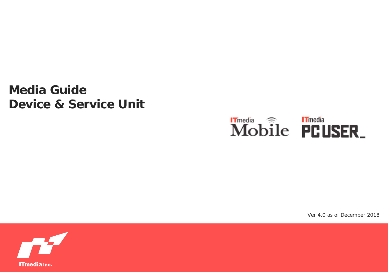**Media Guide Device & Service Unit**

# *Mobile PCUSER\_*

Ver 4.0 as of December 2018

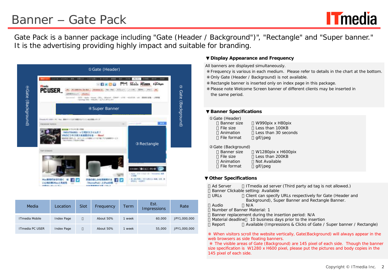### Banner - Gate Pack



Gate Pack is a banner package including "Gate (Header / Background")", "Rectangle" and "Super banner." It is the advertising providing highly impact and suitable for branding.

| www.st<br><b>TATE</b><br><b>T</b> modes<br>PCUSER. | 家業工程<br>37.431<br>$-0.50$<br>WHERE SE   FROM THE   JUSTICE   JULIE   JULIE   JULIE   JULIE<br><b>BARRIELE LAGON</b><br>(proceed) - 1923 ( Apple + Proced + 09)) - 新加快の - 日本ポン リクモ - 40/0338 - 18: ( 国家集合副業 + 正期開業<br>www.yorkittle.com/2012/07/2012 | WHAT'S IN'<br>Slash Mobile PCUSER Law September                  |
|----------------------------------------------------|-----------------------------------------------------------------------------------------------------------------------------------------------------------------------------------------------------------------------------------------------------|------------------------------------------------------------------|
|                                                    | Super Banner                                                                                                                                                                                                                                        |                                                                  |
| <b>PACADOM THERES</b>                              | PAG、静脈テバメスまで解除するパレコン場合事業メディア                                                                                                                                                                                                                        | $\overline{\phantom{a}}$<br>products a point                     |
| ■ 時間 24:5でで 重量型<br>TelePhoto, IP&BYrnfee-          | 「NEUTRANS」って何かスゴイんだ?<br>VRのビジネス導入を加速させる……New!<br>朝鮮情報で使用した、VRコリテルリの開催コメンモス幅に500名風動物ー示コ                                                                                                                                                              | Rectangle                                                        |
| <b>SOF-STOKETS</b>                                 |                                                                                                                                                                                                                                                     |                                                                  |
|                                                    |                                                                                                                                                                                                                                                     | UNIMI-FECALL OUR<br>LAME 391-233-21-Trenditti BR<br><b>ULIER</b> |
| Mac動物代を切り詰く<br>い心地の側 iMacと先世性                      | 性能の楽しみを掲載度す<br>HorrePort / CPartOM<br>-                                                                                                                                                                                                             | 1 商品銀に互換に「別では我たかー梅香」日常、横<br><b>DERL' HIGHT</b>                   |

| Media           | Location   | Slot | Frequency | Term   | Est.<br>Impressions | Rate         |
|-----------------|------------|------|-----------|--------|---------------------|--------------|
| ITmedia Mobile  | Index Page |      | About 50% | 1 week | 60,000              | JPY1,000,000 |
| ITmedia PC USER | Index Page |      | About 50% | 1 week | 55,000              | JPY1,000,000 |

**Display Appearance and Frequency**

All banners are displayed simultaneously.

Frequency is various in each medium. Please refer to details in the chart at the bottom. Only Gate (Header / Background) is not available. Rectangle banner is inserted only on index page in this package.

Please note Welcome Screen banner of di erent clients may be inserted in the same period.

#### **Banner Specifications**

| Gate (Header)      |                      |
|--------------------|----------------------|
| <b>Banner size</b> | W990pix x H80pix     |
| File size          | Less than 100KB      |
| Animation          | Less than 30 seconds |
| File format        | gif/jpeg             |
|                    |                      |
| Gate (Background)  |                      |
| <b>Banner</b> size | W1280pix x H600pix   |
| File size          | Less than 200KB      |
| Animation          | Not Available        |
| File format        |                      |

#### **Other Specifications**

| Ad Server                    | I Tmedia ad server (Third party ad tag is not allowed.)             |
|------------------------------|---------------------------------------------------------------------|
|                              | Banner Clickable setting: Available                                 |
| URLs                         | Client can specify URLs respectively for Gate (Header and           |
|                              | Background), Super Banner and Rectangle Banner.                     |
| Audio                        | N/A                                                                 |
| Number of Banner Material: 1 |                                                                     |
|                              | Banner replacement during the insertion period: N/A                 |
|                              | Material deadline 10 business days prior to the insertion           |
| Report                       | Available (Impressions & Clicks of Gate / Super banner / Rectangle) |
|                              |                                                                     |

When visitors scroll the website vertically, Gate(Background) will always appear in the web browsers as side floating banners.

The visible areas of Gate (Background) are 145 pixel of each side. Though the banner size specification is W1280 x H600 pixel, please put the pictures and body copies in the 145 pixel of each side.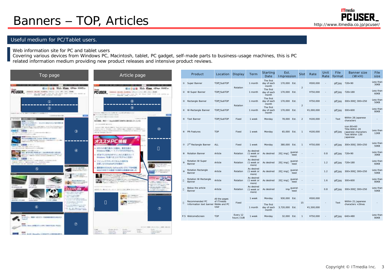# Banners - TOP, Articles **FLUSER**

**STATE SEAST FRAME** 

when the company's additional

Web information site for PC and tablet users

Covering various devices from Windows PC, Macintosh, tablet, PC gadget, self-made parts to business-usage machines, this is PC

related information medium providing new product releases and intensive product reviews.

| Top page                                                                                                                                                                                                                                                                     | Article page                                                                                                                                                                                                                                                                                        | Product                              | Location Display            |                        | Term                | <b>Starting</b>                                          | Est.<br>Date Impression    | Slot           | Rate                  | Unit                     | File<br>Rate format | <b>Banner</b> size<br>$(W \times H)$                                                           | File<br>size      |
|------------------------------------------------------------------------------------------------------------------------------------------------------------------------------------------------------------------------------------------------------------------------------|-----------------------------------------------------------------------------------------------------------------------------------------------------------------------------------------------------------------------------------------------------------------------------------------------------|--------------------------------------|-----------------------------|------------------------|---------------------|----------------------------------------------------------|----------------------------|----------------|-----------------------|--------------------------|---------------------|------------------------------------------------------------------------------------------------|-------------------|
| <b>Address to Auto Address of the Automaker</b><br>out that he was gone                                                                                                                                                                                                      | tem course and the class                                                                                                                                                                                                                                                                            | Super Banner                         | TOP SubTOP                  |                        | 1 month             | The first<br>day of each<br>month                        | 170,000 Est.               |                | $\setminus$ 500,000   |                          |                     | gif jpg $728 \times 90$                                                                        | Less thar<br>30KB |
| Die Hulle Nein füren, Gilber Haldler,<br>PCUSER INTERNATIONAL CONTRACTOR<br>there are the state and the six days when they then the most of                                                                                                                                  | Die Colle Hole Kinn, Albert Hollen<br>PCUSER - In the name of the late of the low<br>and the black the real the de-dust that the company of                                                                                                                                                         | W-Super Banner                       | TOP SubTOP                  | Rotation               | 1 month             | The first<br>day of each<br>month                        | 170,000 Est.               | -2             | $\setminus$ 750,000   |                          |                     | gif jpg 728×180                                                                                | Less thar<br>60KB |
| ------------------                                                                                                                                                                                                                                                           | --------------------                                                                                                                                                                                                                                                                                | Rectangle Banner                     | TOP SubTOP                  |                        | 1 month             | The first<br>day of each<br>month                        | 170,000 Est.               |                | $\setminus$ 750,000   |                          |                     | gif jpg 300×300 300×250                                                                        | Less than<br>50KB |
| transfer for contract of the contract of the property of the state and the con-                                                                                                                                                                                              | Territory, PM (The case and all a territory and the desired to                                                                                                                                                                                                                                      | W-Rectangle Banner                   | TOP SubTOP                  | Rotation               | 1 month             | The first<br>day of each<br>month                        | 170,000 Est.               | $\overline{2}$ | $\setminus$ 1,000,000 |                          |                     | gif jpg $300 \times 600$                                                                       | Less thar<br>80KB |
| <b>KIN</b><br>CONTINUES BASEDED<br><b>STATISTICS</b><br>Val'ultimatik<br><b>WORK Photoship</b><br>相当のおさらも内容がホールをつくてに使用されてきたやます事も実                                                                                                                                            | An illustrated and capital company's rigaries.<br>ま工業<br>The model of the changes which<br>- or second of control and<br>新の鉄断、再び …… Appleは新たな相対に追られたた (1/4)                                                                                                                                         | <b>Text Banner</b>                   | TOP SubTOP                  | Fixed                  | 1 week              | Monday                                                   | 78,000 Est.                | $\mathbf{2}$   | 100,000               |                          | Text                | Within 28 Japanese<br>characters                                                               |                   |
| P.G. 165 ASSOCIATION<br>The control of the control of the control of the control of<br><b>THIS CITY CREW STATE</b><br>10.000131100000712101113100000300020001<br>Inc., 12 to 14 Entren London, conditor<br>\$88 EXTERNATIONAL EXPLOR<br><b>REGARDED TO: CONSTRUCTION TO:</b> | Contractores and produc-<br>Associated and a state and a state of the company of the state of the state of the state of the state of the<br>2020年により新たち、東京都督として新た、新興会社の審査をつけ開発者との会社での開発者と同じた。<br>NAMES REPORTED A CONSUMING CONTRACTOR CONTRACTOR CONTRACTOR<br>(b) at Linkeds Telecom-<br>-------- | <b>PR-Features</b>                   | <b>TOP</b>                  | Fixed                  | 1 week              | Monday                                                   | 65,000 Est.                | $\overline{1}$ | 100,000               |                          |                     | icon: 80×60<br>Title: Within 20<br>gif jpg Japanese characters<br>Text: Within 130<br>Japanese | Less thar<br>12KB |
| and a contract common committee and de-<br>---------<br><b>SHOP OF A CARDS IN THE REAL</b><br>approved and then are the country developed<br>state discussion and that the anti-contribution and                                                                             | IXPC#<br>対応のの場合集ルにお勧め、着言生業の                                                                                                                                                                                                                                                                         | 2 <sup>nd</sup> Rectangle Banner ALL |                             | Fixed                  | 1 week              | Monday                                                   | 380,000 Est. 1             |                | $\sqrt{750,000}$      |                          |                     | gif jpg 300×300 300×250                                                                        | Less thar<br>50KB |
| <b>TERM MARK A CONSIDERATION</b><br>SIE ATOSA/HISUKI UNIVERSID-NEURI<br>and a first to be a lot of the state of the second second state and the second second second second second second.                                                                                   | Wisto-c7結果メートブックがMimistris<br>4月ませに日内は307375うをもれ被えたい?<br>特徴知られた事へあコスパを学んに注目!                                                                                                                                                                                                                        | Rotation Banner                      | Article                     | Rotation               | As desired<br>more) | $(1 \text{ week or } \text{As desired } 20 \text{ imp})$ | guaran<br>teed             |                |                       | 0.8                      |                     | gif jpg $728 \times 90$                                                                        | Less thar<br>30KB |
| The cabinet comparation compensated in comparations<br>AutoM. White, Wilson's King Schlifts that<br>development of constant investments.                                                                                                                                     | コンンレスでテッチバネル小型PCを<br>ESELS/EDIABLE/CYSEM: 1                                                                                                                                                                                                                                                         | <b>Rotation W-Super</b><br>Banner    | Article                     | Rotation               | As desired<br>more) | (1 week or As desired 20 imp                             | guaran<br>teed             |                |                       | 1.2                      |                     | gif jpg 728×180                                                                                | Less thar<br>60KB |
| 巡知不<br><b>COLERATOR</b>                                                                                                                                                                                                                                                      | <b>MERNICULAR GARDER CTX TURBE.</b><br>検法の初ので大規模で活動的な障碍検知書した。<br><b>COLOR MARKET AT EXAMINATION</b><br>11 YES MILES                                                                                                                                                                                 | <b>Rotation Rectangle</b><br>Banner  | Article                     | Rotation               | As desired<br>more) | $(1 \text{ week or } \text{As desired } 20 \text{ imp})$ | guaran                     |                |                       | 1.2                      |                     | gif jpg 300×300 300×250                                                                        | Less than<br>50KB |
| <b>CARLS AND LONG</b><br><b>Alexin appearers</b><br><b>Part of Contract Company</b>                                                                                                                                                                                          | $-74$<br>on mark out in Australia a Lin-<br>CHARLO COLL                                                                                                                                                                                                                                             | Rotation W-Rectangle<br>Banner       | Article                     | Rotation               | As desired<br>more) | (1 week or As desiired 20 imp                            | guaran<br>teed             |                |                       | 1.6                      |                     | gif jpg $300 \times 600$                                                                       | Less thar<br>80KB |
| commentation in the first service.<br>110,000<br>cash previate to<br><b>North Royal L. Bl (1970)</b><br><b>Museum</b> cold<br><b>PERSONAL PRO</b><br><b>COMPANY</b>                                                                                                          | <b>ANTIQUE CONTRACTOR</b><br>ALCOHOL: USA<br>add in Armor, and Architect Proposition<br>appropriate consentation                                                                                                                                                                                    | Below the article<br>Banner          | Article                     | Rotation               | As desired<br>more) | (1 week or As desiired                                   | imp guaran<br>teed         |                |                       | 0.8                      |                     | gif jpg 300×300 300×250                                                                        | Less thar<br>50KB |
| The contract of the contract of the<br>to the same spacing buyer products<br>Location - Wally All Advertised<br>Smoklers planes.                                                                                                                                             | 1844911111<br><b>STATISTICS</b>                                                                                                                                                                                                                                                                     | Recommended PC                       | All the pages<br>of ITmedia |                        | 1 week              | Monday                                                   | 930.000 Est.               |                | $\setminus$ 500,000   |                          |                     | Within 21 Japanese                                                                             |                   |
| <b>SOUTHERN</b><br>Colombia March 2011<br>21. 21. 22. 22. 23. 24.                                                                                                                                                                                                            |                                                                                                                                                                                                                                                                                                     | Information text banner Moble and PC | User                        | Fixed                  | 1 month             | The first<br>month                                       | day of each 3,720,000 Est. | 15             | $\setminus$ 1,500,000 | $\sim$ $-$               | Text                | $characters \times 2lines$                                                                     |                   |
| 11721-1881-0123-102000000000000                                                                                                                                                                                                                                              |                                                                                                                                                                                                                                                                                                     | P.5 WelcomeScreen                    | <b>TOP</b>                  | Every 12<br>hours /1UB | 1 week              | Monday                                                   | 32,000 Est. 1              |                | 1750,000              | <b>Contract Contract</b> |                     | gif jpg $640 \times 480$                                                                       | Less than<br>80KB |
| 1994), Alexandria Maria 1994 Tower Mark, 1983 L.                                                                                                                                                                                                                             | JEEDIC RECURSORY (2010)<br>Value 2<br>Term down<br><b>Increase</b><br>Florida Village Part<br><b>Market House</b><br>To the state comes or commercial                                                                                                                                               |                                      |                             |                        |                     |                                                          |                            |                |                       |                          |                     |                                                                                                |                   |

**IT**media